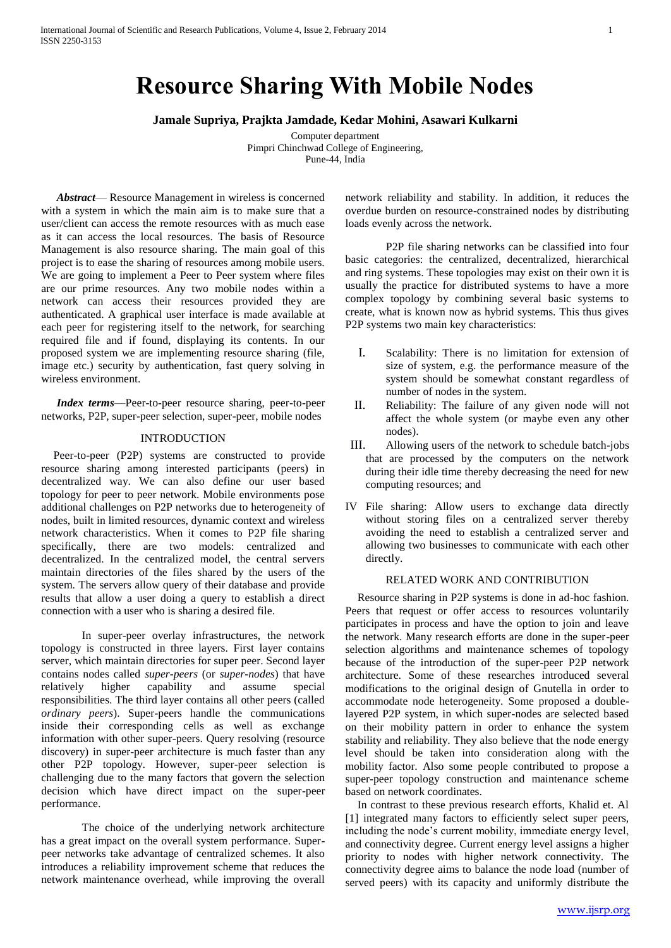# **Resource Sharing With Mobile Nodes**

**Jamale Supriya, Prajkta Jamdade, Kedar Mohini, Asawari Kulkarni**

Computer department Pimpri Chinchwad College of Engineering, Pune-44, India

*Abstract*— Resource Management in wireless is concerned with a system in which the main aim is to make sure that a user/client can access the remote resources with as much ease as it can access the local resources. The basis of Resource Management is also resource sharing. The main goal of this project is to ease the sharing of resources among mobile users. We are going to implement a Peer to Peer system where files are our prime resources. Any two mobile nodes within a network can access their resources provided they are authenticated. A graphical user interface is made available at each peer for registering itself to the network, for searching required file and if found, displaying its contents. In our proposed system we are implementing resource sharing (file, image etc.) security by authentication, fast query solving in wireless environment.

*Index terms*—Peer-to-peer resource sharing, peer-to-peer networks, P2P, super-peer selection, super-peer, mobile nodes

## INTRODUCTION

Peer-to-peer (P2P) systems are constructed to provide resource sharing among interested participants (peers) in decentralized way. We can also define our user based topology for peer to peer network. Mobile environments pose additional challenges on P2P networks due to heterogeneity of nodes, built in limited resources, dynamic context and wireless network characteristics. When it comes to P2P file sharing specifically, there are two models: centralized and decentralized. In the centralized model, the central servers maintain directories of the files shared by the users of the system. The servers allow query of their database and provide results that allow a user doing a query to establish a direct connection with a user who is sharing a desired file.

In super-peer overlay infrastructures, the network topology is constructed in three layers. First layer contains server, which maintain directories for super peer. Second layer contains nodes called *super-peers* (or *super-nodes*) that have relatively higher capability and assume special responsibilities. The third layer contains all other peers (called *ordinary peers*). Super-peers handle the communications inside their corresponding cells as well as exchange information with other super-peers. Query resolving (resource discovery) in super-peer architecture is much faster than any other P2P topology. However, super-peer selection is challenging due to the many factors that govern the selection decision which have direct impact on the super-peer performance.

The choice of the underlying network architecture has a great impact on the overall system performance. Superpeer networks take advantage of centralized schemes. It also introduces a reliability improvement scheme that reduces the network maintenance overhead, while improving the overall network reliability and stability. In addition, it reduces the overdue burden on resource-constrained nodes by distributing loads evenly across the network.

P2P file sharing networks can be classified into four basic categories: the centralized, decentralized, hierarchical and ring systems. These topologies may exist on their own it is usually the practice for distributed systems to have a more complex topology by combining several basic systems to create, what is known now as hybrid systems. This thus gives P2P systems two main key characteristics:

- I. Scalability: There is no limitation for extension of size of system, e.g. the performance measure of the system should be somewhat constant regardless of number of nodes in the system.
- II. Reliability: The failure of any given node will not affect the whole system (or maybe even any other nodes).
- III. Allowing users of the network to schedule batch-jobs that are processed by the computers on the network during their idle time thereby decreasing the need for new computing resources; and
- IV File sharing: Allow users to exchange data directly without storing files on a centralized server thereby avoiding the need to establish a centralized server and allowing two businesses to communicate with each other directly.

## RELATED WORK AND CONTRIBUTION

Resource sharing in P2P systems is done in ad-hoc fashion. Peers that request or offer access to resources voluntarily participates in process and have the option to join and leave the network. Many research efforts are done in the super-peer selection algorithms and maintenance schemes of topology because of the introduction of the super-peer P2P network architecture. Some of these researches introduced several modifications to the original design of Gnutella in order to accommodate node heterogeneity. Some proposed a doublelayered P2P system, in which super-nodes are selected based on their mobility pattern in order to enhance the system stability and reliability. They also believe that the node energy level should be taken into consideration along with the mobility factor. Also some people contributed to propose a super-peer topology construction and maintenance scheme based on network coordinates.

In contrast to these previous research efforts, Khalid et. Al [1] integrated many factors to efficiently select super peers, including the node's current mobility, immediate energy level, and connectivity degree. Current energy level assigns a higher priority to nodes with higher network connectivity. The connectivity degree aims to balance the node load (number of served peers) with its capacity and uniformly distribute the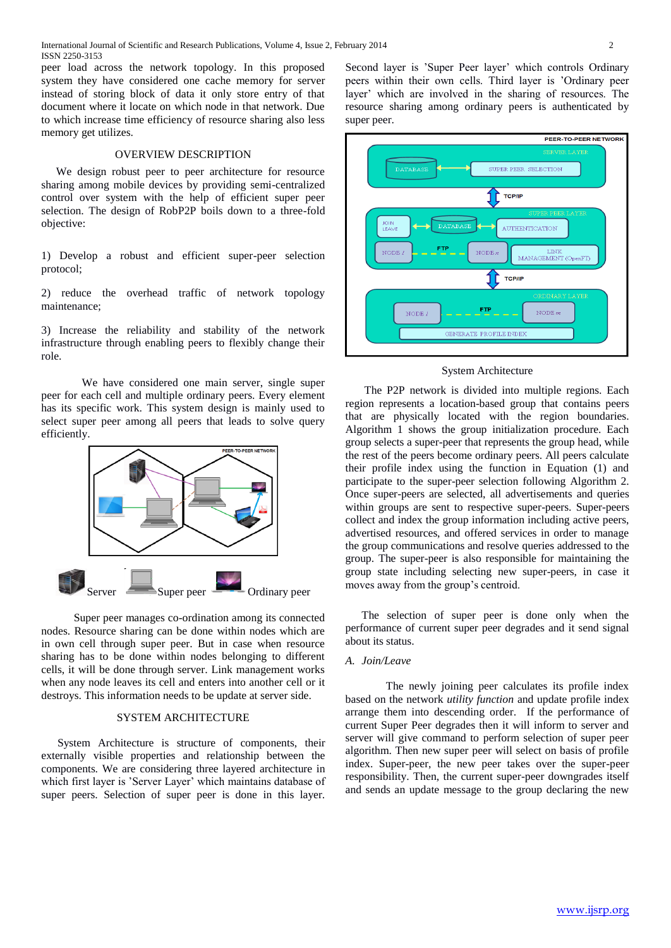peer load across the network topology. In this proposed system they have considered one cache memory for server instead of storing block of data it only store entry of that document where it locate on which node in that network. Due to which increase time efficiency of resource sharing also less memory get utilizes.

# OVERVIEW DESCRIPTION

We design robust peer to peer architecture for resource sharing among mobile devices by providing semi-centralized control over system with the help of efficient super peer selection. The design of RobP2P boils down to a three-fold objective:

1) Develop a robust and efficient super-peer selection protocol;

2) reduce the overhead traffic of network topology maintenance;

3) Increase the reliability and stability of the network infrastructure through enabling peers to flexibly change their role.

We have considered one main server, single super peer for each cell and multiple ordinary peers. Every element has its specific work. This system design is mainly used to select super peer among all peers that leads to solve query efficiently.



Super peer manages co-ordination among its connected nodes. Resource sharing can be done within nodes which are in own cell through super peer. But in case when resource sharing has to be done within nodes belonging to different cells, it will be done through server. Link management works when any node leaves its cell and enters into another cell or it destroys. This information needs to be update at server side.

#### SYSTEM ARCHITECTURE

System Architecture is structure of components, their externally visible properties and relationship between the components. We are considering three layered architecture in which first layer is 'Server Layer' which maintains database of super peers. Selection of super peer is done in this layer.

Second layer is 'Super Peer layer' which controls Ordinary peers within their own cells. Third layer is 'Ordinary peer layer' which are involved in the sharing of resources. The resource sharing among ordinary peers is authenticated by super peer.



#### System Architecture

The P2P network is divided into multiple regions. Each region represents a location-based group that contains peers that are physically located with the region boundaries. Algorithm 1 shows the group initialization procedure. Each group selects a super-peer that represents the group head, while the rest of the peers become ordinary peers. All peers calculate their profile index using the function in Equation (1) and participate to the super-peer selection following Algorithm 2. Once super-peers are selected, all advertisements and queries within groups are sent to respective super-peers. Super-peers collect and index the group information including active peers, advertised resources, and offered services in order to manage the group communications and resolve queries addressed to the group. The super-peer is also responsible for maintaining the group state including selecting new super-peers, in case it moves away from the group's centroid.

The selection of super peer is done only when the performance of current super peer degrades and it send signal about its status.

# *A. Join/Leave*

The newly joining peer calculates its profile index based on the network *utility function* and update profile index arrange them into descending order. If the performance of current Super Peer degrades then it will inform to server and server will give command to perform selection of super peer algorithm. Then new super peer will select on basis of profile index. Super-peer, the new peer takes over the super-peer responsibility. Then, the current super-peer downgrades itself and sends an update message to the group declaring the new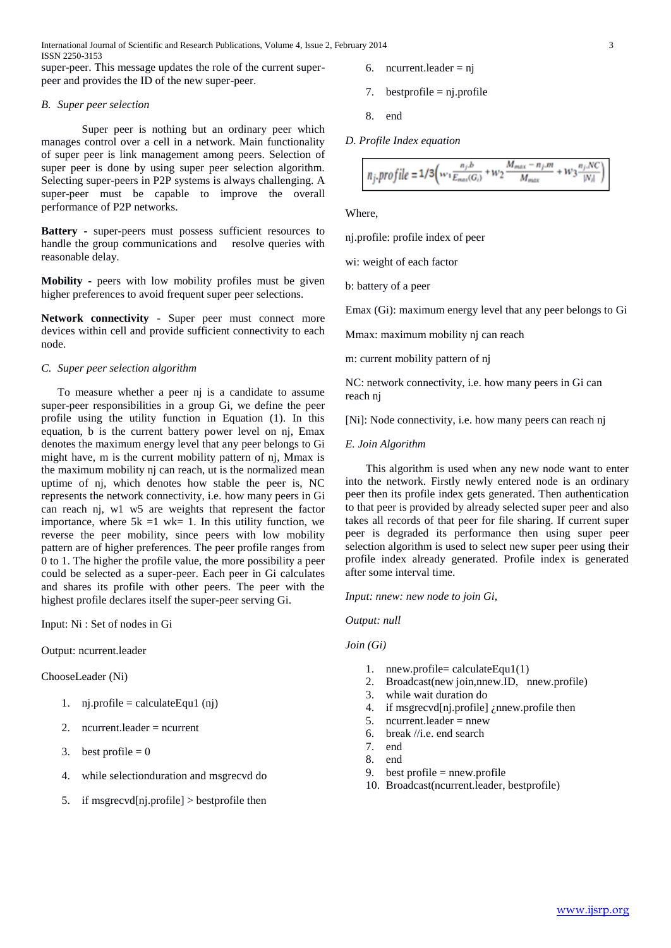International Journal of Scientific and Research Publications, Volume 4, Issue 2, February 2014 3 ISSN 2250-3153

super-peer. This message updates the role of the current superpeer and provides the ID of the new super-peer.

## *B. Super peer selection*

Super peer is nothing but an ordinary peer which manages control over a cell in a network. Main functionality of super peer is link management among peers. Selection of super peer is done by using super peer selection algorithm. Selecting super-peers in P2P systems is always challenging. A super-peer must be capable to improve the overall performance of P2P networks.

**Battery -** super-peers must possess sufficient resources to handle the group communications and resolve queries with reasonable delay.

**Mobility -** peers with low mobility profiles must be given higher preferences to avoid frequent super peer selections.

**Network connectivity** - Super peer must connect more devices within cell and provide sufficient connectivity to each node.

## *C. Super peer selection algorithm*

To measure whether a peer nj is a candidate to assume super-peer responsibilities in a group Gi, we define the peer profile using the utility function in Equation (1). In this equation, b is the current battery power level on nj, Emax denotes the maximum energy level that any peer belongs to Gi might have, m is the current mobility pattern of nj, Mmax is the maximum mobility nj can reach, ut is the normalized mean uptime of nj, which denotes how stable the peer is, NC represents the network connectivity, i.e. how many peers in Gi can reach nj, w1 w5 are weights that represent the factor importance, where  $5k = 1$  wk= 1. In this utility function, we reverse the peer mobility, since peers with low mobility pattern are of higher preferences. The peer profile ranges from 0 to 1. The higher the profile value, the more possibility a peer could be selected as a super-peer. Each peer in Gi calculates and shares its profile with other peers. The peer with the highest profile declares itself the super-peer serving Gi.

Input: Ni : Set of nodes in Gi

# Output: ncurrent.leader

ChooseLeader (Ni)

- 1. nj.profile = calculateEqu1  $(nj)$
- 2. ncurrent.leader  $=$  ncurrent
- 3. best profile  $= 0$
- 4. while selectionduration and msgrecvd do
- 5. if msgrecvd[nj.profile] > bestprofile then
- 6. ncurrent.leader =  $nj$
- 7. bestprofile  $=$  nj.profile
- 8. end
- *D. Profile Index equation*

$$
n_j.\textit{profile} = 1/3 \Big( w_1 \frac{n_j.b}{E_{max}(G_i)} + w_2 \frac{M_{max}-n_j.m}{M_{max}} + w_3 \frac{n_j.NC}{|N_i|} \Big)
$$

Where,

nj.profile: profile index of peer

wi: weight of each factor

b: battery of a peer

Emax (Gi): maximum energy level that any peer belongs to Gi

Mmax: maximum mobility nj can reach

m: current mobility pattern of nj

NC: network connectivity, i.e. how many peers in Gi can reach nj

[Ni]: Node connectivity, i.e. how many peers can reach nj

#### *E. Join Algorithm*

This algorithm is used when any new node want to enter into the network. Firstly newly entered node is an ordinary peer then its profile index gets generated. Then authentication to that peer is provided by already selected super peer and also takes all records of that peer for file sharing. If current super peer is degraded its performance then using super peer selection algorithm is used to select new super peer using their profile index already generated. Profile index is generated after some interval time.

*Input: nnew: new node to join Gi,*

*Output: null*

# *Join (Gi)*

- 1. nnew.profile= calculateEqu1(1)
- 2. Broadcast(new join,nnew.ID, nnew.profile)
- 3. while wait duration do
- 4. if msgrecvd[nj.profile] ¿nnew.profile then
- 5. ncurrent.leader =  $n$ new
- 6. break //i.e. end search
- 7. end
- 8. end
- 9. best profile = nnew.profile
- 10. Broadcast(ncurrent.leader, bestprofile)